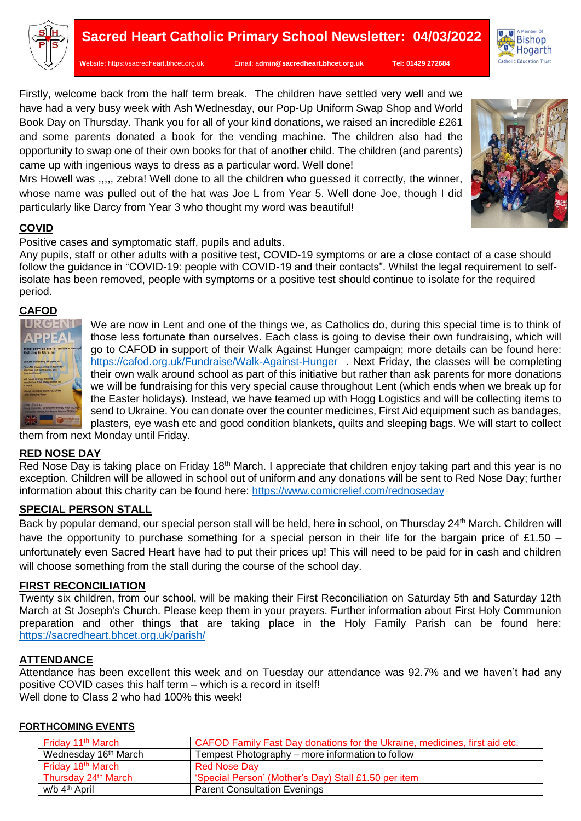

**W**ebsite: [https://sacredheart.bhcet.org.uk](https://sacredheart.bhcet.org.uk/) Email: a**[dmin@sacredheart.bhcet.org.uk](mailto:admin@sacredheart.bhcet.org.uk) Tel: 01429 272684**

Firstly, welcome back from the half term break. The children have settled very well and we have had a very busy week with Ash Wednesday, our Pop-Up Uniform Swap Shop and World Book Day on Thursday. Thank you for all of your kind donations, we raised an incredible £261 and some parents donated a book for the vending machine. The children also had the opportunity to swap one of their own books for that of another child. The children (and parents) came up with ingenious ways to dress as a particular word. Well done!

Mrs Howell was ,,,,, zebra! Well done to all the children who guessed it correctly, the winner, whose name was pulled out of the hat was Joe L from Year 5. Well done Joe, though I did particularly like Darcy from Year 3 who thought my word was beautiful!

# **COVID**

Positive cases and symptomatic staff, pupils and adults.

Any pupils, staff or other adults with a positive test, COVID-19 symptoms or are a close contact of a case should follow the guidance in "COVID-19: people with COVID-19 and their contacts". Whilst the legal requirement to selfisolate has been removed, people with symptoms or a positive test should continue to isolate for the required period.

### **CAFOD**



We are now in Lent and one of the things we, as Catholics do, during this special time is to think of those less fortunate than ourselves. Each class is going to devise their own fundraising, which will go to CAFOD in support of their Walk Against Hunger campaign; more details can be found here: <https://cafod.org.uk/Fundraise/Walk-Against-Hunger>. Next Friday, the classes will be completing their own walk around school as part of this initiative but rather than ask parents for more donations we will be fundraising for this very special cause throughout Lent (which ends when we break up for the Easter holidays). Instead, we have teamed up with Hogg Logistics and will be collecting items to send to Ukraine. You can donate over the counter medicines, First Aid equipment such as bandages, plasters, eye wash etc and good condition blankets, quilts and sleeping bags. We will start to collect

them from next Monday until Friday.

### **RED NOSE DAY**

Red Nose Day is taking place on Friday 18<sup>th</sup> March. I appreciate that children enjoy taking part and this year is no exception. Children will be allowed in school out of uniform and any donations will be sent to Red Nose Day; further information about this charity can be found here:<https://www.comicrelief.com/rednoseday>

## **SPECIAL PERSON STALL**

Back by popular demand, our special person stall will be held, here in school, on Thursday 24<sup>th</sup> March. Children will have the opportunity to purchase something for a special person in their life for the bargain price of £1.50 – unfortunately even Sacred Heart have had to put their prices up! This will need to be paid for in cash and children will choose something from the stall during the course of the school day.

### **FIRST RECONCILIATION**

Twenty six children, from our school, will be making their First Reconciliation on Saturday 5th and Saturday 12th March at St Joseph's Church. Please keep them in your prayers. Further information about First Holy Communion preparation and other things that are taking place in the Holy Family Parish can be found here: <https://sacredheart.bhcet.org.uk/parish/>

### **ATTENDANCE**

Attendance has been excellent this week and on Tuesday our attendance was 92.7% and we haven't had any positive COVID cases this half term – which is a record in itself! Well done to Class 2 who had 100% this week!

| Friday 11 <sup>th</sup> March    | CAFOD Family Fast Day donations for the Ukraine, medicines, first aid etc. |
|----------------------------------|----------------------------------------------------------------------------|
| Wednesday 16 <sup>th</sup> March | Tempest Photography - more information to follow                           |
| Friday 18 <sup>th</sup> March    | <b>Red Nose Dav</b>                                                        |
| Thursday 24th March              | 'Special Person' (Mother's Day) Stall £1.50 per item                       |
| w/b 4 <sup>th</sup> April        | <b>Parent Consultation Evenings</b>                                        |



A Member Of

Hogarth Catholic Education Trust

Ma<sub>Member</sub> of

 $\overline{\mathbf{N}}$ 

旬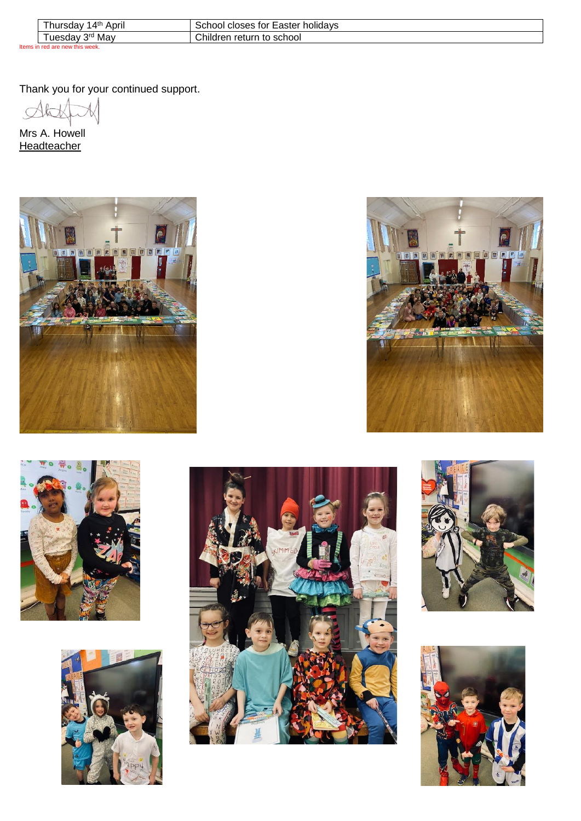|                                 | ∟4th<br>April<br>' hursdav | r اooho<br>, for<br><b>Laster</b><br>holidavs<br><b>ClOSES</b> |
|---------------------------------|----------------------------|----------------------------------------------------------------|
|                                 | 2rd<br>Mav<br>uesdav       | Children<br>return<br>to school                                |
| Items in red are new this week. |                            |                                                                |

Thank you for your continued support.

 $\Delta t$ 

Mrs A. Howell **Headteacher**